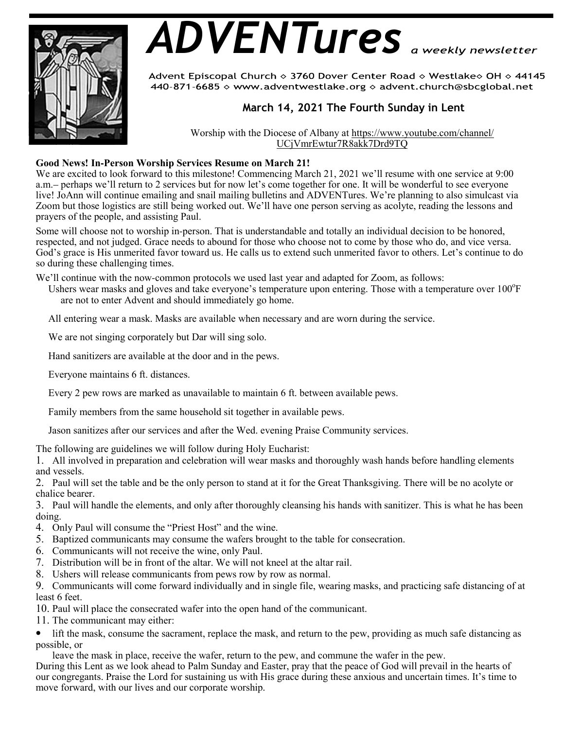

# *ADVENTures*

Advent Episcopal Church ◇ 3760 Dover Center Road ◇ Westlake◇ OH ◇ 44145 440-871-6685 > www.adventwestlake.org > advent.church@sbcglobal.net

## **March 14, 2021 The Fourth Sunday in Lent**

Worship with the Diocese of Albany at https://www.youtube.com/channel/ UCjVmrEwtur7R8akk7Drd9TQ

### **Good News! In-Person Worship Services Resume on March 21!**

We are excited to look forward to this milestone! Commencing March 21, 2021 we'll resume with one service at 9:00 a.m.– perhaps we'll return to 2 services but for now let's come together for one. It will be wonderful to see everyone live! JoAnn will continue emailing and snail mailing bulletins and ADVENTures. We're planning to also simulcast via Zoom but those logistics are still being worked out. We'll have one person serving as acolyte, reading the lessons and prayers of the people, and assisting Paul.

Some will choose not to worship in-person. That is understandable and totally an individual decision to be honored, respected, and not judged. Grace needs to abound for those who choose not to come by those who do, and vice versa. God's grace is His unmerited favor toward us. He calls us to extend such unmerited favor to others. Let's continue to do so during these challenging times.

We'll continue with the now-common protocols we used last year and adapted for Zoom, as follows:

Ushers wear masks and gloves and take everyone's temperature upon entering. Those with a temperature over 100°F are not to enter Advent and should immediately go home.

All entering wear a mask. Masks are available when necessary and are worn during the service.

We are not singing corporately but Dar will sing solo.

Hand sanitizers are available at the door and in the pews.

Everyone maintains 6 ft. distances.

Every 2 pew rows are marked as unavailable to maintain 6 ft. between available pews.

Family members from the same household sit together in available pews.

Jason sanitizes after our services and after the Wed. evening Praise Community services.

The following are guidelines we will follow during Holy Eucharist:

1. All involved in preparation and celebration will wear masks and thoroughly wash hands before handling elements and vessels.

2. Paul will set the table and be the only person to stand at it for the Great Thanksgiving. There will be no acolyte or chalice bearer.

3. Paul will handle the elements, and only after thoroughly cleansing his hands with sanitizer. This is what he has been doing.

- 4. Only Paul will consume the "Priest Host" and the wine.
- 5. Baptized communicants may consume the wafers brought to the table for consecration.
- 6. Communicants will not receive the wine, only Paul.
- 7. Distribution will be in front of the altar. We will not kneel at the altar rail.
- 8. Ushers will release communicants from pews row by row as normal.

9. Communicants will come forward individually and in single file, wearing masks, and practicing safe distancing of at least 6 feet.

10. Paul will place the consecrated wafer into the open hand of the communicant.

11. The communicant may either:

• lift the mask, consume the sacrament, replace the mask, and return to the pew, providing as much safe distancing as possible, or

leave the mask in place, receive the wafer, return to the pew, and commune the wafer in the pew.

During this Lent as we look ahead to Palm Sunday and Easter, pray that the peace of God will prevail in the hearts of our congregants. Praise the Lord for sustaining us with His grace during these anxious and uncertain times. It's time to move forward, with our lives and our corporate worship.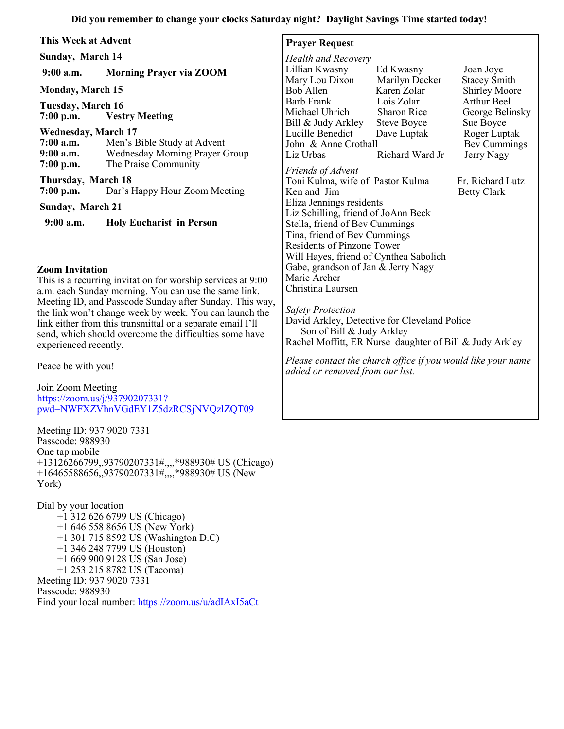| This Week at Advent                                                                                                                                                                                   |                                                                                       | <b>Prayer Request</b>                                                                                                                         |                                                 |                                                    |
|-------------------------------------------------------------------------------------------------------------------------------------------------------------------------------------------------------|---------------------------------------------------------------------------------------|-----------------------------------------------------------------------------------------------------------------------------------------------|-------------------------------------------------|----------------------------------------------------|
| Sunday, March 14                                                                                                                                                                                      |                                                                                       | <b>Health and Recovery</b>                                                                                                                    |                                                 |                                                    |
| $9:00$ a.m.                                                                                                                                                                                           | <b>Morning Prayer via ZOOM</b>                                                        | Lillian Kwasny<br>Mary Lou Dixon                                                                                                              | Ed Kwasny<br>Marilyn Decker                     | Joan Joye<br><b>Stacey Smith</b>                   |
| <b>Monday, March 15</b>                                                                                                                                                                               |                                                                                       | Bob Allen                                                                                                                                     | Karen Zolar                                     | <b>Shirley Moore</b>                               |
| Tuesday, March 16<br>$7:00$ p.m.                                                                                                                                                                      | <b>Vestry Meeting</b>                                                                 | Barb Frank<br>Michael Uhrich<br>Bill & Judy Arkley                                                                                            | Lois Zolar<br>Sharon Rice<br><b>Steve Boyce</b> | <b>Arthur Beel</b><br>George Belinsky<br>Sue Boyce |
| <b>Wednesday, March 17</b><br>$7:00$ a.m.<br>$9:00$ a.m.<br>$7:00$ p.m.                                                                                                                               | Men's Bible Study at Advent<br>Wednesday Morning Prayer Group<br>The Praise Community | Lucille Benedict<br>John & Anne Crothall<br>Liz Urbas                                                                                         | Dave Luptak<br>Richard Ward Jr                  | Roger Luptak<br>Bev Cummings<br>Jerry Nagy         |
| Thursday, March 18<br>Dar's Happy Hour Zoom Meeting<br>$7:00$ p.m.                                                                                                                                    |                                                                                       | Friends of Advent<br>Toni Kulma, wife of Pastor Kulma<br>Ken and Jim                                                                          |                                                 | Fr. Richard Lutz<br><b>Betty Clark</b>             |
| <b>Sunday, March 21</b>                                                                                                                                                                               |                                                                                       | Eliza Jennings residents<br>Liz Schilling, friend of JoAnn Beck                                                                               |                                                 |                                                    |
| $9:00$ a.m.                                                                                                                                                                                           | <b>Holy Eucharist in Person</b>                                                       | Stella, friend of Bev Cummings<br>Tina, friend of Bev Cummings<br><b>Residents of Pinzone Tower</b><br>Will Hayes, friend of Cynthea Sabolich |                                                 |                                                    |
| <b>Zoom Invitation</b><br>This is a recurring invitation for worship services at 9:00<br>a.m. each Sunday morning. You can use the same link,<br>Meeting ID and Passcode Sunday after Sunday This way |                                                                                       | Gabe, grandson of Jan & Jerry Nagy<br>Marie Archer<br>Christina Laursen                                                                       |                                                 |                                                    |

*Safety Protection* David Arkley, Detective for Cleveland Police Son of Bill & Judy Arkley Rachel Moffitt, ER Nurse daughter of Bill & Judy Arkley

*Please contact the church office if you would like your name added or removed from our list.*

Meeting ID, and Passcode Sunday after Sunday. This way, the link won't change week by week. You can launch the link either from this transmittal or a separate email I'll send, which should overcome the difficulties some have experienced recently.

Peace be with you!

Join Zoom Meeting https://zoom.us/j/93790207331? pwd=NWFXZVhnVGdEY1Z5dzRCSjNVQzlZQT09

Meeting ID: 937 9020 7331 Passcode: 988930 One tap mobile +13126266799,,93790207331#,,,,\*988930# US (Chicago) +16465588656,,93790207331#,,,,\*988930# US (New York)

Dial by your location +1 312 626 6799 US (Chicago) +1 646 558 8656 US (New York) +1 301 715 8592 US (Washington D.C) +1 346 248 7799 US (Houston) +1 669 900 9128 US (San Jose) +1 253 215 8782 US (Tacoma) Meeting ID: 937 9020 7331 Passcode: 988930 Find your local number: https://zoom.us/u/adIAxI5aCt